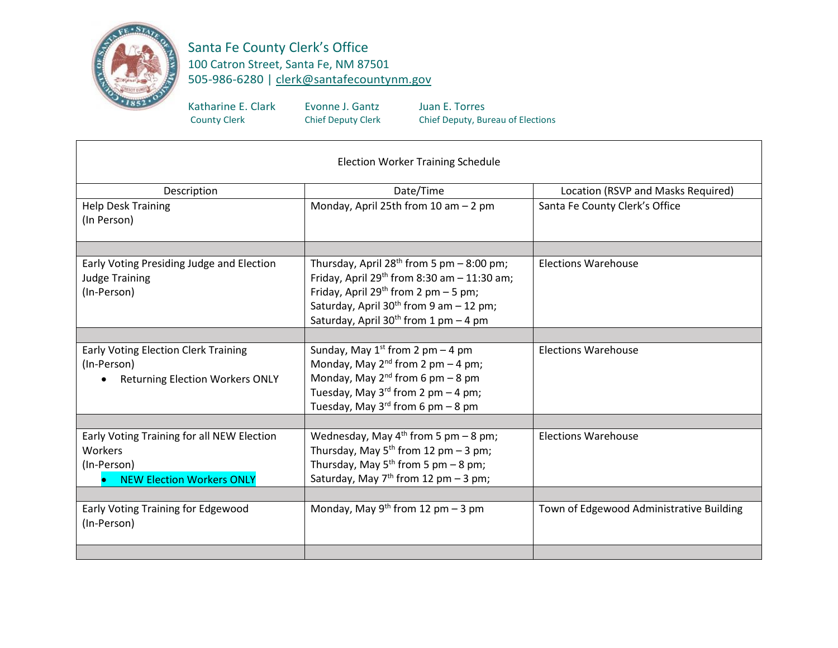

Santa Fe County Clerk's Office 100 Catron Street, Santa Fe, NM 87501 505-986-6280 | [clerk@santafecountynm.gov](mailto:clerk@santafecountynm.gov)

Katharine E. Clark Evonne J. Gantz Juan E. Torres<br>County Clerk Chief Deputy Clerk Chief Deputy, Bur

Chief Deputy, Bureau of Elections

| <b>Election Worker Training Schedule</b>                                                                 |                                                                                                                                                                                                                                                                        |                                          |  |
|----------------------------------------------------------------------------------------------------------|------------------------------------------------------------------------------------------------------------------------------------------------------------------------------------------------------------------------------------------------------------------------|------------------------------------------|--|
| Description                                                                                              | Date/Time                                                                                                                                                                                                                                                              | Location (RSVP and Masks Required)       |  |
| <b>Help Desk Training</b><br>(In Person)                                                                 | Monday, April 25th from 10 am - 2 pm                                                                                                                                                                                                                                   | Santa Fe County Clerk's Office           |  |
|                                                                                                          |                                                                                                                                                                                                                                                                        |                                          |  |
| Early Voting Presiding Judge and Election<br><b>Judge Training</b><br>(In-Person)                        | Thursday, April $28^{th}$ from 5 pm $-8:00$ pm;<br>Friday, April $29^{th}$ from 8:30 am $- 11:30$ am;<br>Friday, April 29 <sup>th</sup> from 2 pm $-5$ pm;<br>Saturday, April 30 <sup>th</sup> from 9 am - 12 pm;<br>Saturday, April 30 <sup>th</sup> from 1 pm - 4 pm | <b>Elections Warehouse</b>               |  |
|                                                                                                          |                                                                                                                                                                                                                                                                        |                                          |  |
| <b>Early Voting Election Clerk Training</b><br>(In-Person)<br><b>Returning Election Workers ONLY</b>     | Sunday, May $1^{st}$ from 2 pm – 4 pm<br>Monday, May $2^{nd}$ from 2 pm - 4 pm;<br>Monday, May $2^{nd}$ from 6 pm - 8 pm<br>Tuesday, May $3^{rd}$ from 2 pm - 4 pm;<br>Tuesday, May $3^{rd}$ from 6 pm - 8 pm                                                          | <b>Elections Warehouse</b>               |  |
|                                                                                                          |                                                                                                                                                                                                                                                                        |                                          |  |
| Early Voting Training for all NEW Election<br>Workers<br>(In-Person)<br><b>NEW Election Workers ONLY</b> | Wednesday, May $4^{th}$ from 5 pm – 8 pm;<br>Thursday, May $5^{th}$ from 12 pm - 3 pm;<br>Thursday, May $5^{th}$ from 5 pm - 8 pm;<br>Saturday, May $7th$ from 12 pm – 3 pm;                                                                                           | <b>Elections Warehouse</b>               |  |
|                                                                                                          |                                                                                                                                                                                                                                                                        |                                          |  |
| Early Voting Training for Edgewood<br>(In-Person)                                                        | Monday, May 9 <sup>th</sup> from 12 pm $-$ 3 pm                                                                                                                                                                                                                        | Town of Edgewood Administrative Building |  |
|                                                                                                          |                                                                                                                                                                                                                                                                        |                                          |  |